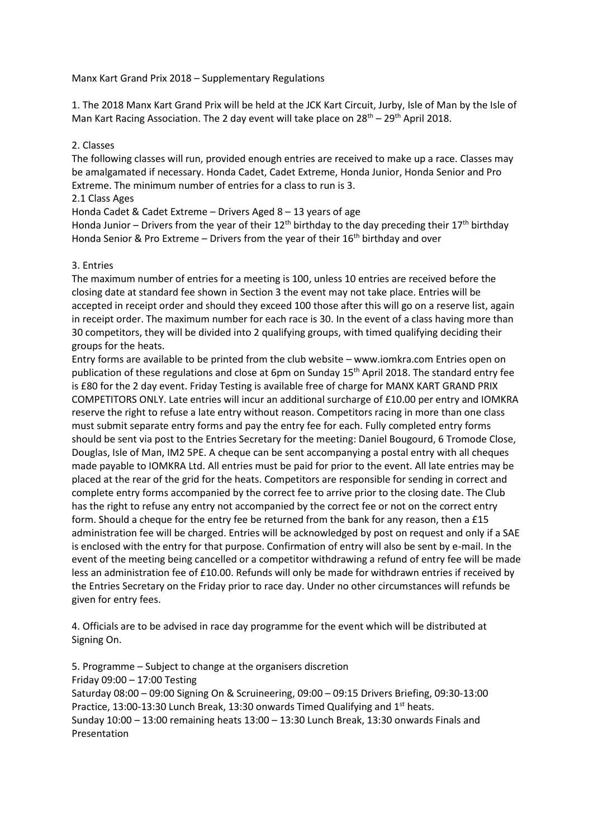Manx Kart Grand Prix 2018 – Supplementary Regulations

1. The 2018 Manx Kart Grand Prix will be held at the JCK Kart Circuit, Jurby, Isle of Man by the Isle of Man Kart Racing Association. The 2 day event will take place on  $28^{th}$  –  $29^{th}$  April 2018.

#### 2. Classes

The following classes will run, provided enough entries are received to make up a race. Classes may be amalgamated if necessary. Honda Cadet, Cadet Extreme, Honda Junior, Honda Senior and Pro Extreme. The minimum number of entries for a class to run is 3.

2.1 Class Ages

Honda Cadet & Cadet Extreme – Drivers Aged 8 – 13 years of age

Honda Junior – Drivers from the year of their 12<sup>th</sup> birthday to the day preceding their 17<sup>th</sup> birthday Honda Senior & Pro Extreme – Drivers from the year of their  $16<sup>th</sup>$  birthday and over

#### 3. Entries

The maximum number of entries for a meeting is 100, unless 10 entries are received before the closing date at standard fee shown in Section 3 the event may not take place. Entries will be accepted in receipt order and should they exceed 100 those after this will go on a reserve list, again in receipt order. The maximum number for each race is 30. In the event of a class having more than 30 competitors, they will be divided into 2 qualifying groups, with timed qualifying deciding their groups for the heats.

Entry forms are available to be printed from the club website – www.iomkra.com Entries open on publication of these regulations and close at 6pm on Sunday 15<sup>th</sup> April 2018. The standard entry fee is £80 for the 2 day event. Friday Testing is available free of charge for MANX KART GRAND PRIX COMPETITORS ONLY. Late entries will incur an additional surcharge of £10.00 per entry and IOMKRA reserve the right to refuse a late entry without reason. Competitors racing in more than one class must submit separate entry forms and pay the entry fee for each. Fully completed entry forms should be sent via post to the Entries Secretary for the meeting: Daniel Bougourd, 6 Tromode Close, Douglas, Isle of Man, IM2 5PE. A cheque can be sent accompanying a postal entry with all cheques made payable to IOMKRA Ltd. All entries must be paid for prior to the event. All late entries may be placed at the rear of the grid for the heats. Competitors are responsible for sending in correct and complete entry forms accompanied by the correct fee to arrive prior to the closing date. The Club has the right to refuse any entry not accompanied by the correct fee or not on the correct entry form. Should a cheque for the entry fee be returned from the bank for any reason, then a £15 administration fee will be charged. Entries will be acknowledged by post on request and only if a SAE is enclosed with the entry for that purpose. Confirmation of entry will also be sent by e-mail. In the event of the meeting being cancelled or a competitor withdrawing a refund of entry fee will be made less an administration fee of £10.00. Refunds will only be made for withdrawn entries if received by the Entries Secretary on the Friday prior to race day. Under no other circumstances will refunds be given for entry fees.

4. Officials are to be advised in race day programme for the event which will be distributed at Signing On.

5. Programme – Subject to change at the organisers discretion

Friday 09:00 – 17:00 Testing

Saturday 08:00 – 09:00 Signing On & Scruineering, 09:00 – 09:15 Drivers Briefing, 09:30-13:00 Practice, 13:00-13:30 Lunch Break, 13:30 onwards Timed Qualifying and 1<sup>st</sup> heats. Sunday 10:00 – 13:00 remaining heats 13:00 – 13:30 Lunch Break, 13:30 onwards Finals and Presentation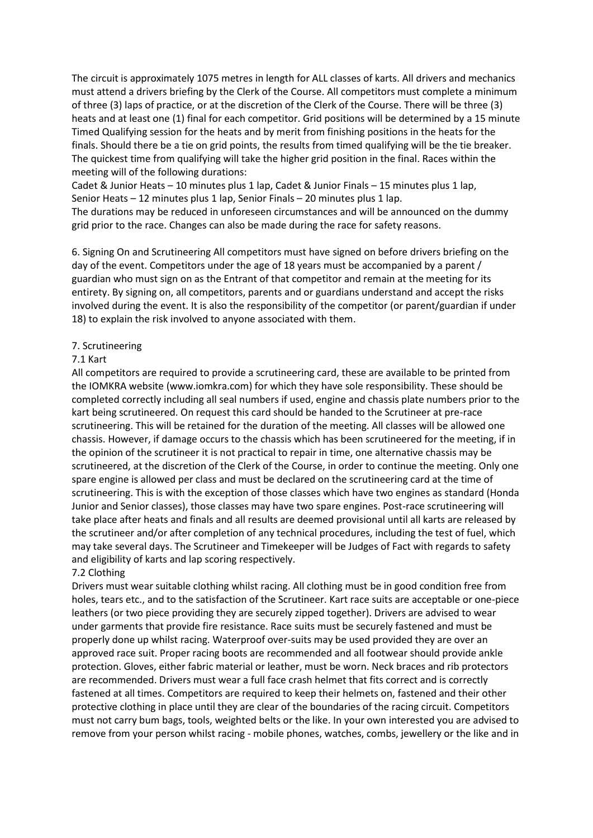The circuit is approximately 1075 metres in length for ALL classes of karts. All drivers and mechanics must attend a drivers briefing by the Clerk of the Course. All competitors must complete a minimum of three (3) laps of practice, or at the discretion of the Clerk of the Course. There will be three (3) heats and at least one (1) final for each competitor. Grid positions will be determined by a 15 minute Timed Qualifying session for the heats and by merit from finishing positions in the heats for the finals. Should there be a tie on grid points, the results from timed qualifying will be the tie breaker. The quickest time from qualifying will take the higher grid position in the final. Races within the meeting will of the following durations:

Cadet & Junior Heats – 10 minutes plus 1 lap, Cadet & Junior Finals – 15 minutes plus 1 lap, Senior Heats – 12 minutes plus 1 lap, Senior Finals – 20 minutes plus 1 lap.

The durations may be reduced in unforeseen circumstances and will be announced on the dummy grid prior to the race. Changes can also be made during the race for safety reasons.

6. Signing On and Scrutineering All competitors must have signed on before drivers briefing on the day of the event. Competitors under the age of 18 years must be accompanied by a parent / guardian who must sign on as the Entrant of that competitor and remain at the meeting for its entirety. By signing on, all competitors, parents and or guardians understand and accept the risks involved during the event. It is also the responsibility of the competitor (or parent/guardian if under 18) to explain the risk involved to anyone associated with them.

#### 7. Scrutineering

#### 7.1 Kart

All competitors are required to provide a scrutineering card, these are available to be printed from the IOMKRA website (www.iomkra.com) for which they have sole responsibility. These should be completed correctly including all seal numbers if used, engine and chassis plate numbers prior to the kart being scrutineered. On request this card should be handed to the Scrutineer at pre-race scrutineering. This will be retained for the duration of the meeting. All classes will be allowed one chassis. However, if damage occurs to the chassis which has been scrutineered for the meeting, if in the opinion of the scrutineer it is not practical to repair in time, one alternative chassis may be scrutineered, at the discretion of the Clerk of the Course, in order to continue the meeting. Only one spare engine is allowed per class and must be declared on the scrutineering card at the time of scrutineering. This is with the exception of those classes which have two engines as standard (Honda Junior and Senior classes), those classes may have two spare engines. Post-race scrutineering will take place after heats and finals and all results are deemed provisional until all karts are released by the scrutineer and/or after completion of any technical procedures, including the test of fuel, which may take several days. The Scrutineer and Timekeeper will be Judges of Fact with regards to safety and eligibility of karts and lap scoring respectively.

## 7.2 Clothing

Drivers must wear suitable clothing whilst racing. All clothing must be in good condition free from holes, tears etc., and to the satisfaction of the Scrutineer. Kart race suits are acceptable or one-piece leathers (or two piece providing they are securely zipped together). Drivers are advised to wear under garments that provide fire resistance. Race suits must be securely fastened and must be properly done up whilst racing. Waterproof over-suits may be used provided they are over an approved race suit. Proper racing boots are recommended and all footwear should provide ankle protection. Gloves, either fabric material or leather, must be worn. Neck braces and rib protectors are recommended. Drivers must wear a full face crash helmet that fits correct and is correctly fastened at all times. Competitors are required to keep their helmets on, fastened and their other protective clothing in place until they are clear of the boundaries of the racing circuit. Competitors must not carry bum bags, tools, weighted belts or the like. In your own interested you are advised to remove from your person whilst racing - mobile phones, watches, combs, jewellery or the like and in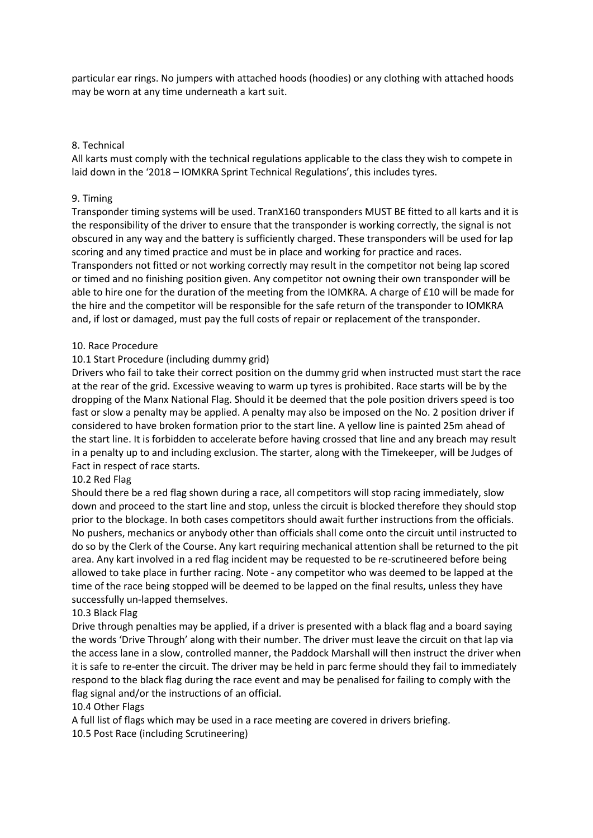particular ear rings. No jumpers with attached hoods (hoodies) or any clothing with attached hoods may be worn at any time underneath a kart suit.

## 8. Technical

All karts must comply with the technical regulations applicable to the class they wish to compete in laid down in the '2018 – IOMKRA Sprint Technical Regulations', this includes tyres.

## 9. Timing

Transponder timing systems will be used. TranX160 transponders MUST BE fitted to all karts and it is the responsibility of the driver to ensure that the transponder is working correctly, the signal is not obscured in any way and the battery is sufficiently charged. These transponders will be used for lap scoring and any timed practice and must be in place and working for practice and races. Transponders not fitted or not working correctly may result in the competitor not being lap scored or timed and no finishing position given. Any competitor not owning their own transponder will be able to hire one for the duration of the meeting from the IOMKRA. A charge of £10 will be made for the hire and the competitor will be responsible for the safe return of the transponder to IOMKRA and, if lost or damaged, must pay the full costs of repair or replacement of the transponder.

#### 10. Race Procedure

## 10.1 Start Procedure (including dummy grid)

Drivers who fail to take their correct position on the dummy grid when instructed must start the race at the rear of the grid. Excessive weaving to warm up tyres is prohibited. Race starts will be by the dropping of the Manx National Flag. Should it be deemed that the pole position drivers speed is too fast or slow a penalty may be applied. A penalty may also be imposed on the No. 2 position driver if considered to have broken formation prior to the start line. A yellow line is painted 25m ahead of the start line. It is forbidden to accelerate before having crossed that line and any breach may result in a penalty up to and including exclusion. The starter, along with the Timekeeper, will be Judges of Fact in respect of race starts.

## 10.2 Red Flag

Should there be a red flag shown during a race, all competitors will stop racing immediately, slow down and proceed to the start line and stop, unless the circuit is blocked therefore they should stop prior to the blockage. In both cases competitors should await further instructions from the officials. No pushers, mechanics or anybody other than officials shall come onto the circuit until instructed to do so by the Clerk of the Course. Any kart requiring mechanical attention shall be returned to the pit area. Any kart involved in a red flag incident may be requested to be re-scrutineered before being allowed to take place in further racing. Note - any competitor who was deemed to be lapped at the time of the race being stopped will be deemed to be lapped on the final results, unless they have successfully un-lapped themselves.

#### 10.3 Black Flag

Drive through penalties may be applied, if a driver is presented with a black flag and a board saying the words 'Drive Through' along with their number. The driver must leave the circuit on that lap via the access lane in a slow, controlled manner, the Paddock Marshall will then instruct the driver when it is safe to re-enter the circuit. The driver may be held in parc ferme should they fail to immediately respond to the black flag during the race event and may be penalised for failing to comply with the flag signal and/or the instructions of an official.

## 10.4 Other Flags

A full list of flags which may be used in a race meeting are covered in drivers briefing. 10.5 Post Race (including Scrutineering)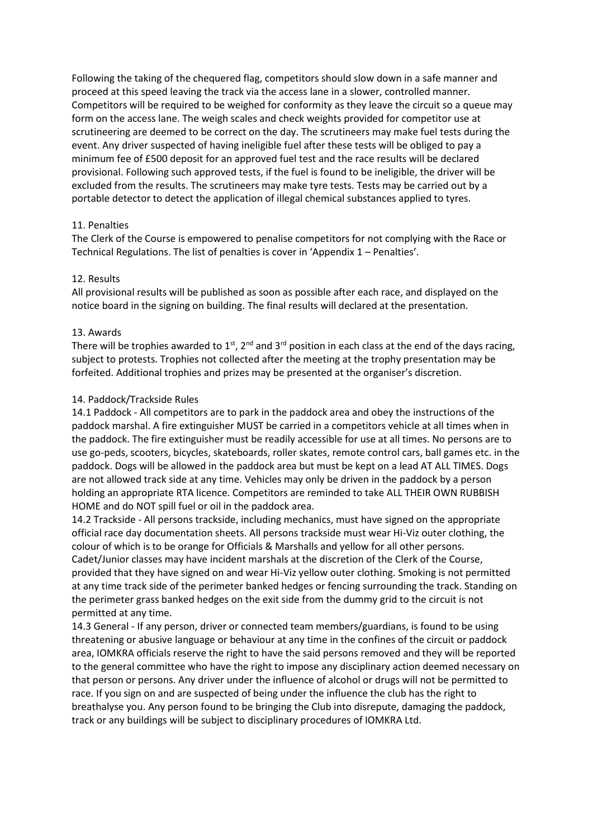Following the taking of the chequered flag, competitors should slow down in a safe manner and proceed at this speed leaving the track via the access lane in a slower, controlled manner. Competitors will be required to be weighed for conformity as they leave the circuit so a queue may form on the access lane. The weigh scales and check weights provided for competitor use at scrutineering are deemed to be correct on the day. The scrutineers may make fuel tests during the event. Any driver suspected of having ineligible fuel after these tests will be obliged to pay a minimum fee of £500 deposit for an approved fuel test and the race results will be declared provisional. Following such approved tests, if the fuel is found to be ineligible, the driver will be excluded from the results. The scrutineers may make tyre tests. Tests may be carried out by a portable detector to detect the application of illegal chemical substances applied to tyres.

# 11. Penalties

The Clerk of the Course is empowered to penalise competitors for not complying with the Race or Technical Regulations. The list of penalties is cover in 'Appendix 1 – Penalties'.

## 12. Results

All provisional results will be published as soon as possible after each race, and displayed on the notice board in the signing on building. The final results will declared at the presentation.

# 13. Awards

There will be trophies awarded to 1<sup>st</sup>, 2<sup>nd</sup> and 3<sup>rd</sup> position in each class at the end of the days racing, subject to protests. Trophies not collected after the meeting at the trophy presentation may be forfeited. Additional trophies and prizes may be presented at the organiser's discretion.

# 14. Paddock/Trackside Rules

14.1 Paddock - All competitors are to park in the paddock area and obey the instructions of the paddock marshal. A fire extinguisher MUST be carried in a competitors vehicle at all times when in the paddock. The fire extinguisher must be readily accessible for use at all times. No persons are to use go-peds, scooters, bicycles, skateboards, roller skates, remote control cars, ball games etc. in the paddock. Dogs will be allowed in the paddock area but must be kept on a lead AT ALL TIMES. Dogs are not allowed track side at any time. Vehicles may only be driven in the paddock by a person holding an appropriate RTA licence. Competitors are reminded to take ALL THEIR OWN RUBBISH HOME and do NOT spill fuel or oil in the paddock area.

14.2 Trackside - All persons trackside, including mechanics, must have signed on the appropriate official race day documentation sheets. All persons trackside must wear Hi-Viz outer clothing, the colour of which is to be orange for Officials & Marshalls and yellow for all other persons. Cadet/Junior classes may have incident marshals at the discretion of the Clerk of the Course, provided that they have signed on and wear Hi-Viz yellow outer clothing. Smoking is not permitted at any time track side of the perimeter banked hedges or fencing surrounding the track. Standing on the perimeter grass banked hedges on the exit side from the dummy grid to the circuit is not permitted at any time.

14.3 General - If any person, driver or connected team members/guardians, is found to be using threatening or abusive language or behaviour at any time in the confines of the circuit or paddock area, IOMKRA officials reserve the right to have the said persons removed and they will be reported to the general committee who have the right to impose any disciplinary action deemed necessary on that person or persons. Any driver under the influence of alcohol or drugs will not be permitted to race. If you sign on and are suspected of being under the influence the club has the right to breathalyse you. Any person found to be bringing the Club into disrepute, damaging the paddock, track or any buildings will be subject to disciplinary procedures of IOMKRA Ltd.